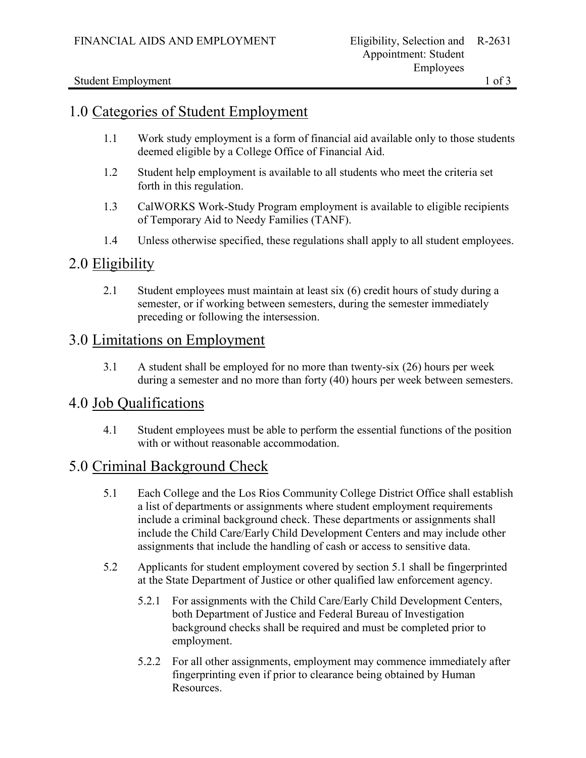Student Employment 1 of 3

## 1.0 Categories of Student Employment

- 1.1 Work study employment is a form of financial aid available only to those students deemed eligible by a College Office of Financial Aid.
- 1.2 Student help employment is available to all students who meet the criteria set forth in this regulation.
- 1.3 CalWORKS Work-Study Program employment is available to eligible recipients of Temporary Aid to Needy Families (TANF).
- 1.4 Unless otherwise specified, these regulations shall apply to all student employees.

## 2.0 Eligibility

2.1 Student employees must maintain at least six (6) credit hours of study during a semester, or if working between semesters, during the semester immediately preceding or following the intersession.

## 3.0 Limitations on Employment

3.1 A student shall be employed for no more than twenty-six (26) hours per week during a semester and no more than forty (40) hours per week between semesters.

## 4.0 Job Qualifications

4.1 Student employees must be able to perform the essential functions of the position with or without reasonable accommodation.

# 5.0 Criminal Background Check

- 5.1 Each College and the Los Rios Community College District Office shall establish a list of departments or assignments where student employment requirements include a criminal background check. These departments or assignments shall include the Child Care/Early Child Development Centers and may include other assignments that include the handling of cash or access to sensitive data.
- 5.2 Applicants for student employment covered by section 5.1 shall be fingerprinted at the State Department of Justice or other qualified law enforcement agency.
	- 5.2.1 For assignments with the Child Care/Early Child Development Centers, both Department of Justice and Federal Bureau of Investigation background checks shall be required and must be completed prior to employment.
	- 5.2.2 For all other assignments, employment may commence immediately after fingerprinting even if prior to clearance being obtained by Human Resources.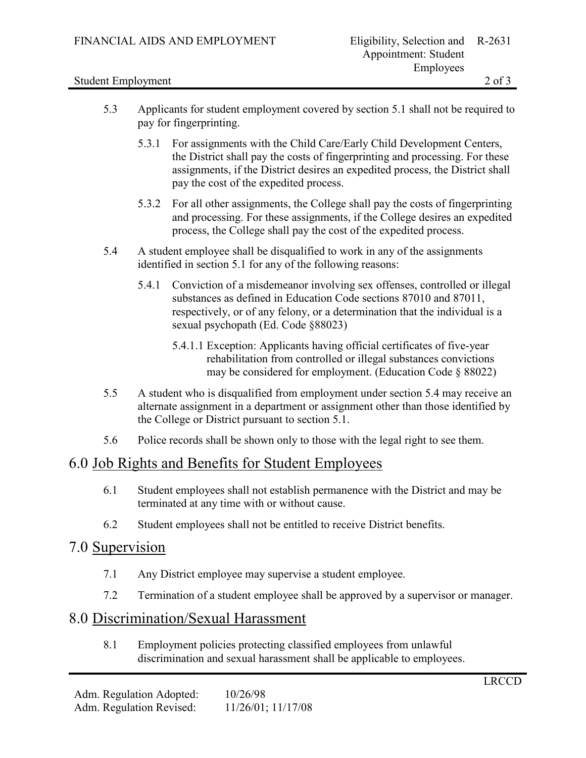#### Student Employment 2 of 3

- 5.3 Applicants for student employment covered by section 5.1 shall not be required to pay for fingerprinting.
	- 5.3.1 For assignments with the Child Care/Early Child Development Centers, the District shall pay the costs of fingerprinting and processing. For these assignments, if the District desires an expedited process, the District shall pay the cost of the expedited process.
	- 5.3.2 For all other assignments, the College shall pay the costs of fingerprinting and processing. For these assignments, if the College desires an expedited process, the College shall pay the cost of the expedited process.
- 5.4 A student employee shall be disqualified to work in any of the assignments identified in section 5.1 for any of the following reasons:
	- 5.4.1 Conviction of a misdemeanor involving sex offenses, controlled or illegal substances as defined in Education Code sections 87010 and 87011, respectively, or of any felony, or a determination that the individual is a sexual psychopath (Ed. Code §88023)
		- 5.4.1.1 Exception: Applicants having official certificates of five-year rehabilitation from controlled or illegal substances convictions may be considered for employment. (Education Code § 88022)
- 5.5 A student who is disqualified from employment under section 5.4 may receive an alternate assignment in a department or assignment other than those identified by the College or District pursuant to section 5.1.
- 5.6 Police records shall be shown only to those with the legal right to see them.

## 6.0 Job Rights and Benefits for Student Employees

- 6.1 Student employees shall not establish permanence with the District and may be terminated at any time with or without cause.
- 6.2 Student employees shall not be entitled to receive District benefits.

### 7.0 Supervision

- 7.1 Any District employee may supervise a student employee.
- 7.2 Termination of a student employee shall be approved by a supervisor or manager.

## 8.0 Discrimination/Sexual Harassment

8.1 Employment policies protecting classified employees from unlawful discrimination and sexual harassment shall be applicable to employees.